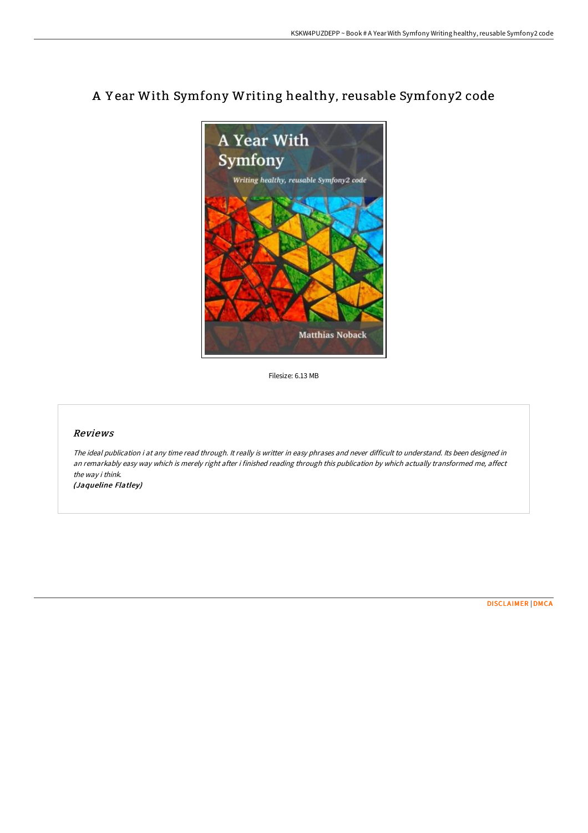

## A Y ear With Symfony Writing healthy, reusable Symfony2 code

Filesize: 6.13 MB

## Reviews

The ideal publication i at any time read through. It really is writter in easy phrases and never difficult to understand. Its been designed in an remarkably easy way which is merely right after i finished reading through this publication by which actually transformed me, affect the way i think.

(Jaqueline Flatley)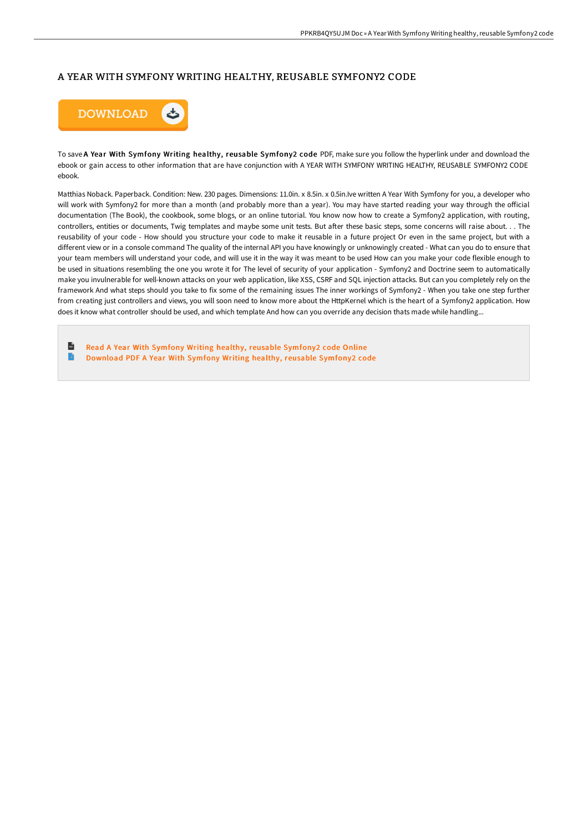## A YEAR WITH SYMFONY WRITING HEALTHY, REUSABLE SYMFONY2 CODE



To save A Year With Symfony Writing healthy, reusable Symfony2 code PDF, make sure you follow the hyperlink under and download the ebook or gain access to other information that are have conjunction with A YEAR WITH SYMFONY WRITING HEALTHY, REUSABLE SYMFONY2 CODE ebook.

Matthias Noback. Paperback. Condition: New. 230 pages. Dimensions: 11.0in. x 8.5in. x 0.5in.Ive written A Year With Symfony for you, a developer who will work with Symfony2 for more than a month (and probably more than a year). You may have started reading your way through the official documentation (The Book), the cookbook, some blogs, or an online tutorial. You know now how to create a Symfony2 application, with routing, controllers, entities or documents, Twig templates and maybe some unit tests. But aFer these basic steps, some concerns will raise about. . . The reusability of your code - How should you structure your code to make it reusable in a future project Or even in the same project, but with a different view or in a console command The quality of the internal API you have knowingly or unknowingly created - What can you do to ensure that your team members will understand your code, and will use it in the way it was meant to be used How can you make your code flexible enough to be used in situations resembling the one you wrote it for The level of security of your application - Symfony2 and Doctrine seem to automatically make you invulnerable for well-known attacks on your web application, like XSS, CSRF and SQL injection attacks. But can you completely rely on the framework And what steps should you take to fix some of the remaining issues The inner workings of Symfony2 - When you take one step further from creating just controllers and views, you will soon need to know more about the HttpKernel which is the heart of a Symfony2 application. How does it know what controller should be used, and which template And how can you override any decision thats made while handling...

 $\mathbf{H}$ Read A Year With Symfony Writing healthy, reusable [Symfony2](http://techno-pub.tech/a-year-with-symfony-writing-healthy-reusable-sym.html) code Online  $\blacksquare$ [Download](http://techno-pub.tech/a-year-with-symfony-writing-healthy-reusable-sym.html) PDF A Year With Symfony Writing healthy, reusable Symfony2 code